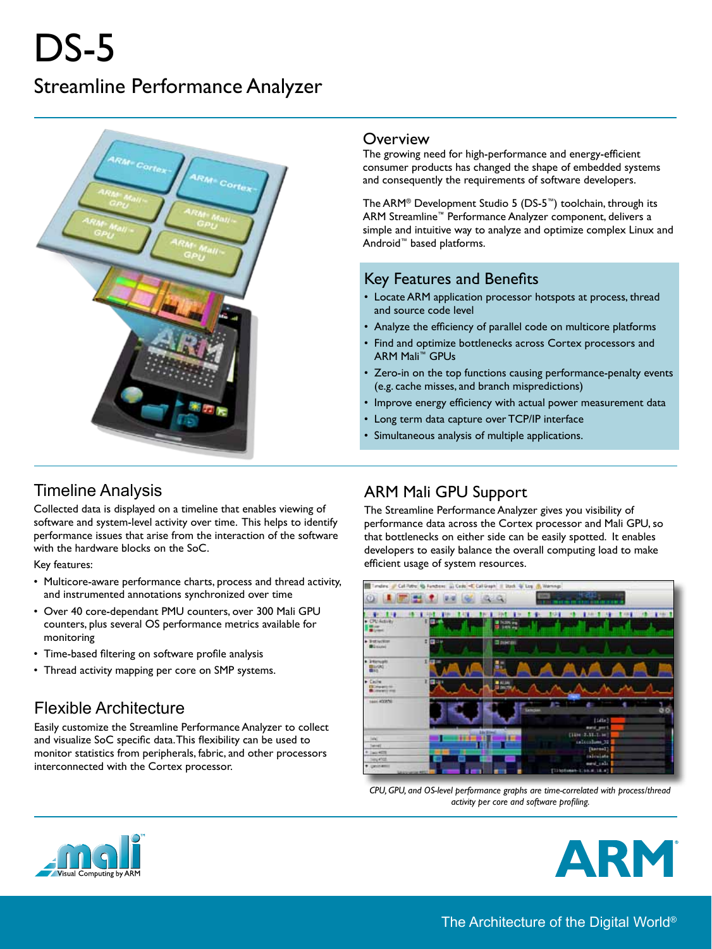# DS-5 Streamline Performance Analyzer



#### **Overview**

The growing need for high-performance and energy-efficient consumer products has changed the shape of embedded systems and consequently the requirements of software developers.

The ARM® Development Studio 5 (DS-5™) toolchain, through its ARM Streamline™ Performance Analyzer component, delivers a simple and intuitive way to analyze and optimize complex Linux and Android™ based platforms.

#### Key Features and Benefits

- Locate ARM application processor hotspots at process, thread and source code level
- Analyze the efficiency of parallel code on multicore platforms
- Find and optimize bottlenecks across Cortex processors and ARM Mali™ GPUs
- Zero-in on the top functions causing performance-penalty events (e.g. cache misses, and branch mispredictions)
- Improve energy efficiency with actual power measurement data
- Long term data capture over TCP/IP interface
- Simultaneous analysis of multiple applications.

# Timeline Analysis

Collected data is displayed on a timeline that enables viewing of software and system-level activity over time. This helps to identify performance issues that arise from the interaction of the software with the hardware blocks on the SoC.

Key features:

- Multicore-aware performance charts, process and thread activity, and instrumented annotations synchronized over time
- Over 40 core-dependant PMU counters, over 300 Mali GPU counters, plus several OS performance metrics available for monitoring
- Time-based filtering on software profile analysis
- Thread activity mapping per core on SMP systems.

## Flexible Architecture

Easily customize the Streamline Performance Analyzer to collect and visualize SoC specific data. This flexibility can be used to monitor statistics from peripherals, fabric, and other processors interconnected with the Cortex processor.

## ARM Mali GPU Support

The Streamline Performance Analyzer gives you visibility of performance data across the Cortex processor and Mali GPU, so that bottlenecks on either side can be easily spotted. It enables developers to easily balance the overall computing load to make efficient usage of system resources.



*CPU, GPU, and OS-level performance graphs are time-correlated with process/thread activity per core and software profiling.*